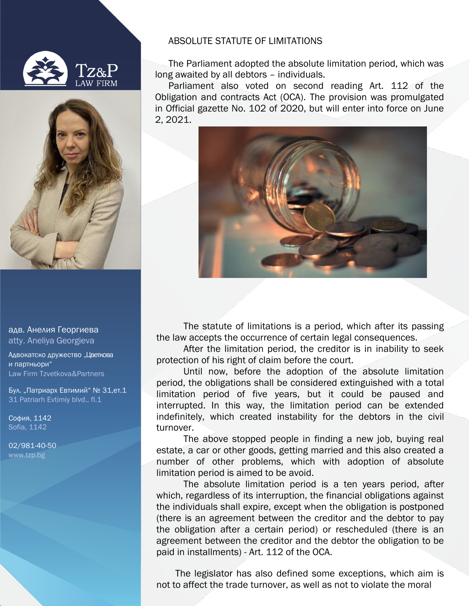



адв. Анелия Георгиева atty. Aneliya Georgieva

Адвокатско дружество "Цветкова и партньори" Law Firm Tzvetkova&Partners

Бул. "Патриарх Евтимий" № 31,ет.1 31 Patriarh Evtimiy blvd., fl.1

София, 1142 Sofia, 1142

02/981-40-50 [www.tzp.bg](http://www.tzp.bg/)

## ABSOLUTE STATUTE OF LIMITATIONS

The Parliament adopted the absolute limitation period, which was long awaited by all debtors – individuals.

Parliament also voted on second reading Art. 112 of the Obligation and contracts Act (OCA). The provision was promulgated in Official gazette No. 102 of 2020, but will enter into force on June 2, 2021.



The statute of limitations is a period, which after its passing the law accepts the occurrence of certain legal consequences.

After the limitation period, the creditor is in inability to seek protection of his right of claim before the court.

Until now, before the adoption of the absolute limitation period, the obligations shall be considered extinguished with a total limitation period of five years, but it could be paused and interrupted. In this way, the limitation period can be extended indefinitely, which created instability for the debtors in the civil turnover.

The above stopped people in finding a new job, buying real estate, a car or other goods, getting married and this also created a number of other problems, which with adoption of absolute limitation period is aimed to be avoid.

The absolute limitation period is a ten years period, after which, regardless of its interruption, the financial obligations against the individuals shall expire, except when the obligation is postponed (there is an agreement between the creditor and the debtor to pay the obligation after a certain period) or rescheduled (there is an agreement between the creditor and the debtor the obligation to be paid in installments) - Art. 112 of the OCA.

The legislator has also defined some exceptions, which aim is not to affect the trade turnover, as well as not to violate the moral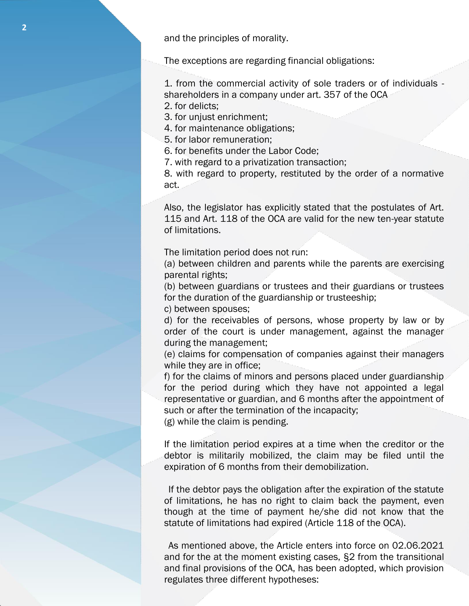and the principles of morality.

The exceptions are regarding financial obligations:

1. from the commercial activity of sole traders or of individuals shareholders in a company under art. 357 of the OCA

2. for delicts;

3. for unjust enrichment;

4. for maintenance obligations;

5. for labor remuneration;

6. for benefits under the Labor Code;

7. with regard to a privatization transaction;

8. with regard to property, restituted by the order of a normative act.

Also, the legislator has explicitly stated that the postulates of Art. 115 and Art. 118 of the OCA are valid for the new ten-year statute of limitations.

Тhe limitation period does not run:

(a) between children and parents while the parents are exercising parental rights;

(b) between guardians or trustees and their guardians or trustees for the duration of the guardianship or trusteeship;

c) between spouses;

d) for the receivables of persons, whose property by law or by order of the court is under management, against the manager during the management;

(e) claims for compensation of companies against their managers while they are in office;

f) for the claims of minors and persons placed under guardianship for the period during which they have not appointed a legal representative or guardian, and 6 months after the appointment of such or after the termination of the incapacity;

(g) while the claim is pending.

If the limitation period expires at a time when the creditor or the debtor is militarily mobilized, the claim may be filed until the expiration of 6 months from their demobilization.

If the debtor pays the obligation after the expiration of the statute of limitations, he has no right to claim back the payment, even though at the time of payment he/she did not know that the statute of limitations had expired (Article 118 of the OCA).

As mentioned above, the Article enters into force on 02.06.2021 and for the at the moment existing cases, §2 from the transitional and final provisions of the OCA, has been adopted, which provision regulates three different hypotheses: